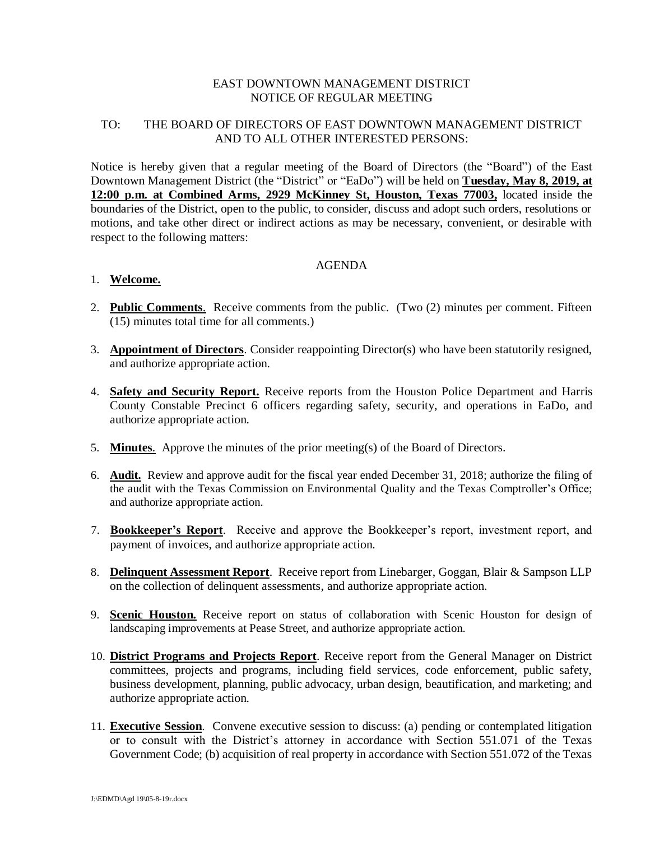## EAST DOWNTOWN MANAGEMENT DISTRICT NOTICE OF REGULAR MEETING

## TO: THE BOARD OF DIRECTORS OF EAST DOWNTOWN MANAGEMENT DISTRICT AND TO ALL OTHER INTERESTED PERSONS:

Notice is hereby given that a regular meeting of the Board of Directors (the "Board") of the East Downtown Management District (the "District" or "EaDo") will be held on **Tuesday, May 8, 2019, at 12:00 p.m. at Combined Arms, 2929 McKinney St, Houston, Texas 77003,** located inside the boundaries of the District, open to the public, to consider, discuss and adopt such orders, resolutions or motions, and take other direct or indirect actions as may be necessary, convenient, or desirable with respect to the following matters:

## AGENDA

## 1. **Welcome.**

- 2. **Public Comments**. Receive comments from the public. (Two (2) minutes per comment. Fifteen (15) minutes total time for all comments.)
- 3. **Appointment of Directors**. Consider reappointing Director(s) who have been statutorily resigned, and authorize appropriate action.
- 4. **Safety and Security Report.** Receive reports from the Houston Police Department and Harris County Constable Precinct 6 officers regarding safety, security, and operations in EaDo, and authorize appropriate action.
- 5. **Minutes**. Approve the minutes of the prior meeting(s) of the Board of Directors.
- 6. **Audit.** Review and approve audit for the fiscal year ended December 31, 2018; authorize the filing of the audit with the Texas Commission on Environmental Quality and the Texas Comptroller's Office; and authorize appropriate action.
- 7. **Bookkeeper's Report**. Receive and approve the Bookkeeper's report, investment report, and payment of invoices, and authorize appropriate action.
- 8. **Delinquent Assessment Report**. Receive report from Linebarger, Goggan, Blair & Sampson LLP on the collection of delinquent assessments, and authorize appropriate action.
- 9. **Scenic Houston.** Receive report on status of collaboration with Scenic Houston for design of landscaping improvements at Pease Street, and authorize appropriate action.
- 10. **District Programs and Projects Report**. Receive report from the General Manager on District committees, projects and programs, including field services, code enforcement, public safety, business development, planning, public advocacy, urban design, beautification, and marketing; and authorize appropriate action.
- 11. **Executive Session**. Convene executive session to discuss: (a) pending or contemplated litigation or to consult with the District's attorney in accordance with Section 551.071 of the Texas Government Code; (b) acquisition of real property in accordance with Section 551.072 of the Texas